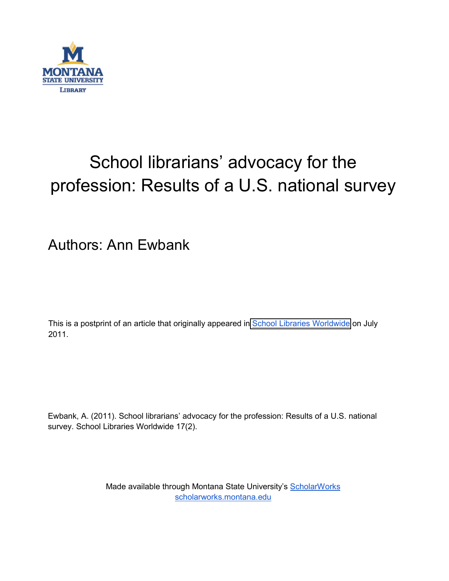

# School librarians' advocacy for the profession: Results of a U.S. national survey

## Authors: Ann Ewbank

This is a postprint of an article that originally appeared in **School Libraries Worldwide** on July 2011.

Ewbank, A. (2011). School librarians' advocacy for the profession: Results of a U.S. national survey. School Libraries Worldwide 17(2).

> Made available through Montana State University's [ScholarWorks](http://scholarworks.montana.edu/) [scholarworks.montana.edu](http://scholarworks.montana.edu/)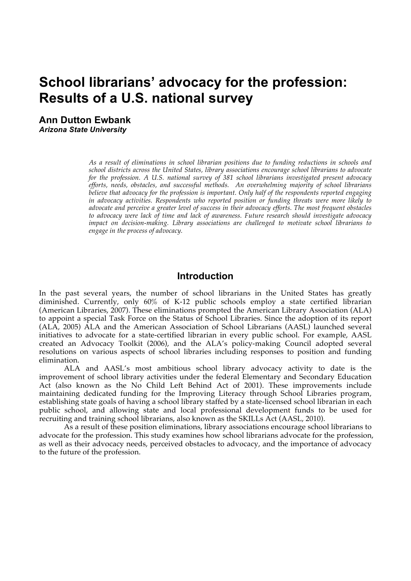## **School librarians' advocacy for the profession: Results of a U.S. national survey**

**Ann Dutton Ewbank** *Arizona State University*

> *As a result of eliminations in school librarian positions due to funding reductions in schools and school districts across the United States, library associations encourage school librarians to advocate for the profession. A U.S. national survey of 381 school librarians investigated present advocacy efforts, needs, obstacles, and successful methods. An overwhelming majority of school librarians believe that advocacy for the profession is important. Only half of the respondents reported engaging in advocacy activities. Respondents who reported position or funding threats were more likely to advocate and perceive a greater level of success in their advocacy efforts. The most frequent obstacles to advocacy were lack of time and lack of awareness. Future research should investigate advocacy impact on decision-making. Library associations are challenged to motivate school librarians to engage in the process of advocacy.*

### **Introduction**

In the past several years, the number of school librarians in the United States has greatly diminished. Currently, only 60% of K-12 public schools employ a state certified librarian (American Libraries, 2007). These eliminations prompted the American Library Association (ALA) to appoint a special Task Force on the Status of School Libraries. Since the adoption of its report (ALA, 2005) ALA and the American Association of School Librarians (AASL) launched several initiatives to advocate for a state-certified librarian in every public school. For example, AASL created an Advocacy Toolkit (2006), and the ALA's policy-making Council adopted several resolutions on various aspects of school libraries including responses to position and funding elimination.

ALA and AASL's most ambitious school library advocacy activity to date is the improvement of school library activities under the federal Elementary and Secondary Education Act (also known as the No Child Left Behind Act of 2001). These improvements include maintaining dedicated funding for the Improving Literacy through School Libraries program, establishing state goals of having a school library staffed by a state-licensed school librarian in each public school, and allowing state and local professional development funds to be used for recruiting and training school librarians, also known as the SKILLs Act (AASL, 2010).

As a result of these position eliminations, library associations encourage school librarians to advocate for the profession. This study examines how school librarians advocate for the profession, as well as their advocacy needs, perceived obstacles to advocacy, and the importance of advocacy to the future of the profession.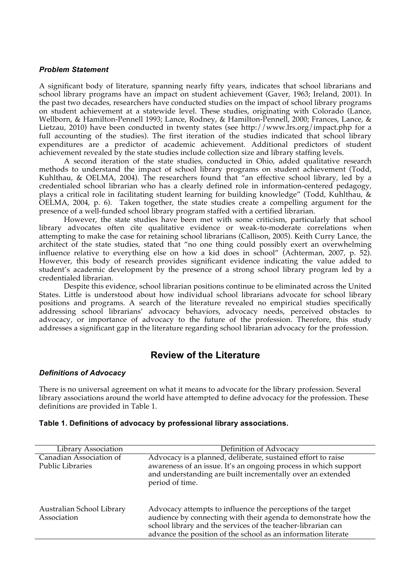#### *Problem Statement*

A significant body of literature, spanning nearly fifty years, indicates that school librarians and school library programs have an impact on student achievement (Gaver, 1963; Ireland, 2001). In the past two decades, researchers have conducted studies on the impact of school library programs on student achievement at a statewide level. These studies, originating with Colorado (Lance, Wellborn, & Hamilton-Pennell 1993; Lance, Rodney, & Hamilton-Pennell, 2000; Frances, Lance, & Lietzau, 2010) have been conducted in twenty states (see http://www.lrs.org/impact.php for a full accounting of the studies). The first iteration of the studies indicated that school library expenditures are a predictor of academic achievement. Additional predictors of student achievement revealed by the state studies include collection size and library staffing levels.

A second iteration of the state studies, conducted in Ohio, added qualitative research methods to understand the impact of school library programs on student achievement (Todd, Kuhlthau, & OELMA, 2004). The researchers found that "an effective school library, led by a credentialed school librarian who has a clearly defined role in information-centered pedagogy, plays a critical role in facilitating student learning for building knowledge" (Todd, Kuhlthau, & OELMA, 2004, p. 6). Taken together, the state studies create a compelling argument for the presence of a well-funded school library program staffed with a certified librarian.

However, the state studies have been met with some criticism, particularly that school library advocates often cite qualitative evidence or weak-to-moderate correlations when attempting to make the case for retaining school librarians (Callison, 2005). Keith Curry Lance, the architect of the state studies, stated that "no one thing could possibly exert an overwhelming influence relative to everything else on how a kid does in school" (Achterman, 2007, p. 52). However, this body of research provides significant evidence indicating the value added to student's academic development by the presence of a strong school library program led by a credentialed librarian.

Despite this evidence, school librarian positions continue to be eliminated across the United States. Little is understood about how individual school librarians advocate for school library positions and programs. A search of the literature revealed no empirical studies specifically addressing school librarians' advocacy behaviors, advocacy needs, perceived obstacles to advocacy, or importance of advocacy to the future of the profession. Therefore, this study addresses a significant gap in the literature regarding school librarian advocacy for the profession.

### **Review of the Literature**

#### *Definitions of Advocacy*

There is no universal agreement on what it means to advocate for the library profession. Several library associations around the world have attempted to define advocacy for the profession. These definitions are provided in Table 1.

#### **Table 1. Definitions of advocacy by professional library associations.**

| <b>Library Association</b>                         | Definition of Advocacy                                                                                                                                                                                                                                                              |
|----------------------------------------------------|-------------------------------------------------------------------------------------------------------------------------------------------------------------------------------------------------------------------------------------------------------------------------------------|
| Canadian Association of<br><b>Public Libraries</b> | Advocacy is a planned, deliberate, sustained effort to raise<br>awareness of an issue. It's an ongoing process in which support<br>and understanding are built incrementally over an extended                                                                                       |
| Australian School Library<br>Association           | period of time.<br>Advocacy attempts to influence the perceptions of the target<br>audience by connecting with their agenda to demonstrate how the<br>school library and the services of the teacher-librarian can<br>advance the position of the school as an information literate |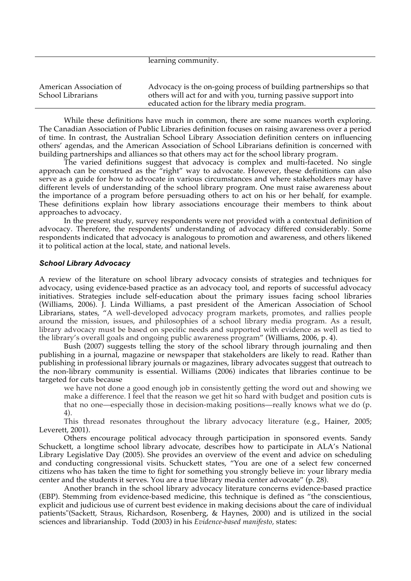|                                              | learning community.                                                                                                                                                                   |
|----------------------------------------------|---------------------------------------------------------------------------------------------------------------------------------------------------------------------------------------|
| American Association of<br>School Librarians | Advocacy is the on-going process of building partnerships so that<br>others will act for and with you, turning passive support into<br>educated action for the library media program. |

learning community.

While these definitions have much in common, there are some nuances worth exploring. The Canadian Association of Public Libraries definition focuses on raising awareness over a period of time. In contrast, the Australian School Library Association definition centers on influencing others' agendas, and the American Association of School Librarians definition is concerned with building partnerships and alliances so that others may act for the school library program.

The varied definitions suggest that advocacy is complex and multi-faceted. No single approach can be construed as the "right" way to advocate. However, these definitions can also serve as a guide for how to advocate in various circumstances and where stakeholders may have different levels of understanding of the school library program. One must raise awareness about the importance of a program before persuading others to act on his or her behalf, for example. These definitions explain how library associations encourage their members to think about approaches to advocacy.

In the present study, survey respondents were not provided with a contextual definition of advocacy. Therefore, the respondents' understanding of advocacy differed considerably. Some respondents indicated that advocacy is analogous to promotion and awareness, and others likened it to political action at the local, state, and national levels.

#### *School Library Advocacy*

A review of the literature on school library advocacy consists of strategies and techniques for advocacy, using evidence-based practice as an advocacy tool, and reports of successful advocacy initiatives. Strategies include self-education about the primary issues facing school libraries (Williams, 2006). J. Linda Williams, a past president of the American Association of School Librarians, states, "A well-developed advocacy program markets, promotes, and rallies people around the mission, issues, and philosophies of a school library media program. As a result, library advocacy must be based on specific needs and supported with evidence as well as tied to the library's overall goals and ongoing public awareness program" (Williams, 2006, p. 4).

Bush (2007) suggests telling the story of the school library through journaling and then publishing in a journal, magazine or newspaper that stakeholders are likely to read. Rather than publishing in professional library journals or magazines, library advocates suggest that outreach to the non-library community is essential. Williams (2006) indicates that libraries continue to be targeted for cuts because

we have not done a good enough job in consistently getting the word out and showing we make a difference. I feel that the reason we get hit so hard with budget and position cuts is that no one—especially those in decision-making positions—really knows what we do (p. 4).

This thread resonates throughout the library advocacy literature (e.g., Hainer, 2005; Leverett, 2001).

Others encourage political advocacy through participation in sponsored events. Sandy Schuckett, a longtime school library advocate, describes how to participate in ALA's National Library Legislative Day (2005). She provides an overview of the event and advice on scheduling and conducting congressional visits. Schuckett states, "You are one of a select few concerned citizens who has taken the time to fight for something you strongly believe in: your library media center and the students it serves. You are a true library media center advocate" (p. 28).

Another branch in the school library advocacy literature concerns evidence-based practice (EBP). Stemming from evidence-based medicine, this technique is defined as "the conscientious, explicit and judicious use of current best evidence in making decisions about the care of individual patients"(Sackett, Straus, Richardson, Rosenberg, & Haynes, 2000) and is utilized in the social sciences and librarianship. Todd (2003) in his *Evidence-based manifesto,* states: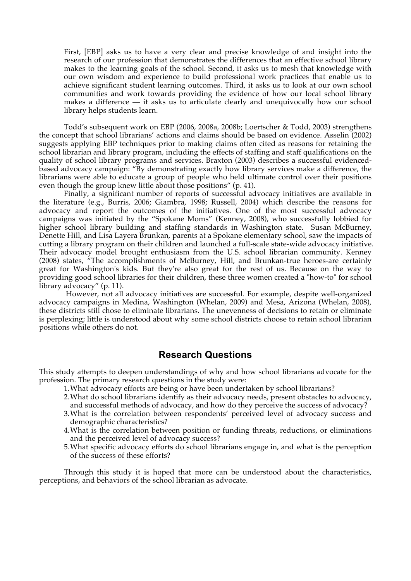First, [EBP] asks us to have a very clear and precise knowledge of and insight into the research of our profession that demonstrates the differences that an effective school library makes to the learning goals of the school. Second, it asks us to mesh that knowledge with our own wisdom and experience to build professional work practices that enable us to achieve significant student learning outcomes. Third, it asks us to look at our own school communities and work towards providing the evidence of how our local school library makes a difference  $-$  it asks us to articulate clearly and unequivocally how our school library helps students learn.

Todd's subsequent work on EBP (2006, 2008a, 2008b; Loertscher & Todd, 2003) strengthens the concept that school librarians' actions and claims should be based on evidence. Asselin (2002) suggests applying EBP techniques prior to making claims often cited as reasons for retaining the school librarian and library program, including the effects of staffing and staff qualifications on the quality of school library programs and services. Braxton (2003) describes a successful evidencedbased advocacy campaign: "By demonstrating exactly how library services make a difference, the librarians were able to educate a group of people who held ultimate control over their positions even though the group knew little about those positions" (p. 41).

Finally, a significant number of reports of successful advocacy initiatives are available in the literature (e.g., Burris, 2006; Giambra, 1998; Russell, 2004) which describe the reasons for advocacy and report the outcomes of the initiatives. One of the most successful advocacy campaigns was initiated by the "Spokane Moms" (Kenney, 2008), who successfully lobbied for higher school library building and staffing standards in Washington state. Susan McBurney, Denette Hill, and Lisa Layera Brunkan, parents at a Spokane elementary school, saw the impacts of cutting a library program on their children and launched a full-scale state-wide advocacy initiative. Their advocacy model brought enthusiasm from the U.S. school librarian community. Kenney (2008) states, "The accomplishments of McBurney, Hill, and Brunkan-true heroes-are certainly great for Washington's kids. But they're also great for the rest of us. Because on the way to providing good school libraries for their children, these three women created a "how-to" for school library advocacy" (p. 11).

 However, not all advocacy initiatives are successful. For example, despite well-organized advocacy campaigns in Medina, Washington (Whelan, 2009) and Mesa, Arizona (Whelan, 2008), these districts still chose to eliminate librarians. The unevenness of decisions to retain or eliminate is perplexing; little is understood about why some school districts choose to retain school librarian positions while others do not.

### **Research Questions**

This study attempts to deepen understandings of why and how school librarians advocate for the profession. The primary research questions in the study were:

- 1.What advocacy efforts are being or have been undertaken by school librarians?
- 2.What do school librarians identify as their advocacy needs, present obstacles to advocacy, and successful methods of advocacy, and how do they perceive the success of advocacy?
- 3.What is the correlation between respondents' perceived level of advocacy success and demographic characteristics?
- 4.What is the correlation between position or funding threats, reductions, or eliminations and the perceived level of advocacy success?
- 5.What specific advocacy efforts do school librarians engage in, and what is the perception of the success of these efforts?

Through this study it is hoped that more can be understood about the characteristics, perceptions, and behaviors of the school librarian as advocate.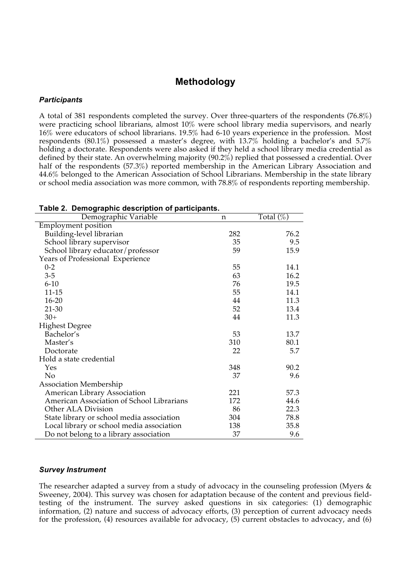### **Methodology**

#### *Participants*

A total of 381 respondents completed the survey. Over three-quarters of the respondents (76.8%) were practicing school librarians, almost 10% were school library media supervisors, and nearly 16% were educators of school librarians. 19.5% had 6-10 years experience in the profession. Most respondents (80.1%) possessed a master's degree, with 13.7% holding a bachelor's and 5.7% holding a doctorate. Respondents were also asked if they held a school library media credential as defined by their state. An overwhelming majority (90.2%) replied that possessed a credential. Over half of the respondents (57.3%) reported membership in the American Library Association and 44.6% belonged to the American Association of School Librarians. Membership in the state library or school media association was more common, with 78.8% of respondents reporting membership.

| Demographic Variable                      | n   | Total $(\%)$ |
|-------------------------------------------|-----|--------------|
| <b>Employment position</b>                |     |              |
| Building-level librarian                  | 282 | 76.2         |
| School library supervisor                 | 35  | 9.5          |
| School library educator/professor         | 59  | 15.9         |
| Years of Professional Experience          |     |              |
| $0 - 2$                                   | 55  | 14.1         |
| $3 - 5$                                   | 63  | 16.2         |
| $6 - 10$                                  | 76  | 19.5         |
| $11 - 15$                                 | 55  | 14.1         |
| $16 - 20$                                 | 44  | 11.3         |
| $21 - 30$                                 | 52  | 13.4         |
| $30+$                                     | 44  | 11.3         |
| <b>Highest Degree</b>                     |     |              |
| Bachelor's                                | 53  | 13.7         |
| Master's                                  | 310 | 80.1         |
| Doctorate                                 | 22  | 5.7          |
| Hold a state credential                   |     |              |
| Yes                                       | 348 | 90.2         |
| N <sub>o</sub>                            | 37  | 9.6          |
| Association Membership                    |     |              |
| American Library Association              | 221 | 57.3         |
| American Association of School Librarians | 172 | 44.6         |
| Other ALA Division                        | 86  | 22.3         |
| State library or school media association | 304 | 78.8         |
| Local library or school media association | 138 | 35.8         |
| Do not belong to a library association    | 37  | 9.6          |

#### **Table 2. Demographic description of participants.**

#### *Survey Instrument*

The researcher adapted a survey from a study of advocacy in the counseling profession (Myers & Sweeney, 2004). This survey was chosen for adaptation because of the content and previous fieldtesting of the instrument. The survey asked questions in six categories: (1) demographic information, (2) nature and success of advocacy efforts, (3) perception of current advocacy needs for the profession, (4) resources available for advocacy, (5) current obstacles to advocacy, and (6)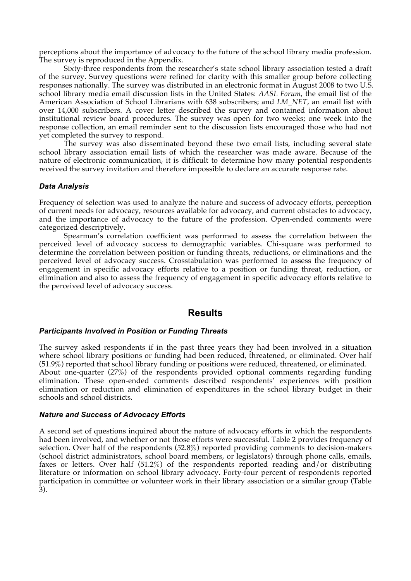perceptions about the importance of advocacy to the future of the school library media profession. The survey is reproduced in the Appendix.

Sixty-three respondents from the researcher's state school library association tested a draft of the survey. Survey questions were refined for clarity with this smaller group before collecting responses nationally. The survey was distributed in an electronic format in August 2008 to two U.S. school library media email discussion lists in the United States: *AASL Forum*, the email list of the American Association of School Librarians with 638 subscribers; and *LM\_NET*, an email list with over 14,000 subscribers. A cover letter described the survey and contained information about institutional review board procedures. The survey was open for two weeks; one week into the response collection, an email reminder sent to the discussion lists encouraged those who had not yet completed the survey to respond.

The survey was also disseminated beyond these two email lists, including several state school library association email lists of which the researcher was made aware. Because of the nature of electronic communication, it is difficult to determine how many potential respondents received the survey invitation and therefore impossible to declare an accurate response rate.

#### *Data Analysis*

Frequency of selection was used to analyze the nature and success of advocacy efforts, perception of current needs for advocacy, resources available for advocacy, and current obstacles to advocacy, and the importance of advocacy to the future of the profession. Open-ended comments were categorized descriptively.

Spearman's correlation coefficient was performed to assess the correlation between the perceived level of advocacy success to demographic variables. Chi-square was performed to determine the correlation between position or funding threats, reductions, or eliminations and the perceived level of advocacy success. Crosstabulation was performed to assess the frequency of engagement in specific advocacy efforts relative to a position or funding threat, reduction, or elimination and also to assess the frequency of engagement in specific advocacy efforts relative to the perceived level of advocacy success.

### **Results**

#### *Participants Involved in Position or Funding Threats*

The survey asked respondents if in the past three years they had been involved in a situation where school library positions or funding had been reduced, threatened, or eliminated. Over half (51.9%) reported that school library funding or positions were reduced, threatened, or eliminated. About one-quarter (27%) of the respondents provided optional comments regarding funding elimination. These open-ended comments described respondents' experiences with position elimination or reduction and elimination of expenditures in the school library budget in their schools and school districts.

#### *Nature and Success of Advocacy Efforts*

A second set of questions inquired about the nature of advocacy efforts in which the respondents had been involved, and whether or not those efforts were successful. Table 2 provides frequency of selection. Over half of the respondents (52.8%) reported providing comments to decision-makers (school district administrators, school board members, or legislators) through phone calls, emails, faxes or letters. Over half (51.2%) of the respondents reported reading and/or distributing literature or information on school library advocacy. Forty-four percent of respondents reported participation in committee or volunteer work in their library association or a similar group (Table 3).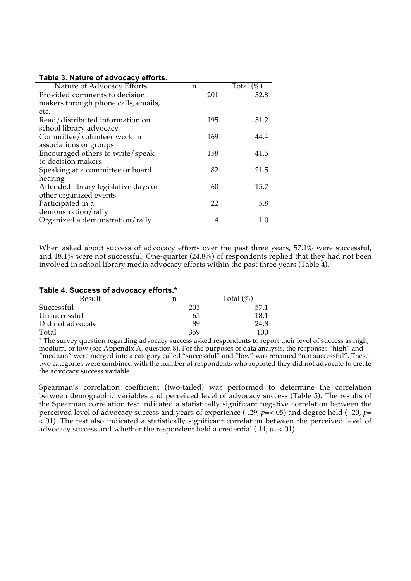#### **Table 3. Nature of advocacy efforts.**

| Nature of Advocacy Efforts           | n   | Total $(\%)$ |
|--------------------------------------|-----|--------------|
| Provided comments to decision        | 201 | 52.8         |
| makers through phone calls, emails,  |     |              |
| etc.                                 |     |              |
| Read/distributed information on      | 195 | 51.2         |
| school library advocacy              |     |              |
| Committee/volunteer work in          | 169 | 44.4         |
| associations or groups               |     |              |
| Encouraged others to write/speak     | 158 | 41.5         |
| to decision makers                   |     |              |
| Speaking at a committee or board     | 82  | 21.5         |
| hearing                              |     |              |
| Attended library legislative days or | 60  | 15.7         |
| other organized events               |     |              |
| Participated in a                    | 22  | 5.8          |
| demonstration/rally                  |     |              |
| Organized a demonstration/rally      | 4   | 1.0          |

When asked about success of advocacy efforts over the past three years, 57.1% were successful, and 18.1% were not successful. One-quarter (24.8%) of respondents replied that they had not been involved in school library media advocacy efforts within the past three years (Table 4).

#### **Table 4. Success of advocacy efforts.\***

| Result           |     | $(0)$ ,<br>Total ( |
|------------------|-----|--------------------|
| Successful       | 205 | 57.                |
| Unsuccessful     | 65  | 18.1               |
| Did not advocate | 89  | 24.8               |
| Total            | 359 | 100                |

\* The survey question regarding advocacy success asked respondents to report their level of success as high, medium, or low (see Appendix A, question 8). For the purposes of data analysis, the responses "high" and "medium" were merged into a category called "successful" and "low" was renamed "not successful". These two categories were combined with the number of respondents who reported they did not advocate to create the advocacy success variable.

Spearman's correlation coefficient (two-tailed) was performed to determine the correlation between demographic variables and perceived level of advocacy success (Table 5). The results of the Spearman correlation test indicated a statistically significant negative correlation between the perceived level of advocacy success and years of experience (-.29, *p*=<.05) and degree held (-.20, *p*= <.01). The test also indicated a statistically significant correlation between the perceived level of advocacy success and whether the respondent held a credential  $(.14, p=<.01)$ .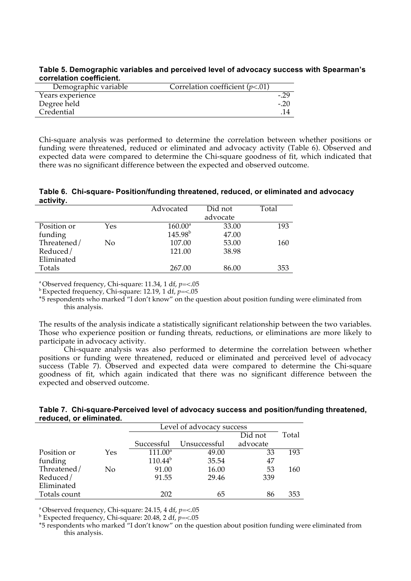**Table 5. Demographic variables and perceived level of advocacy success with Spearman's correlation coefficient.** 

| Demographic variable | Correlation coefficient $(p<.01)$ |        |
|----------------------|-----------------------------------|--------|
| Years experience     |                                   |        |
| Degree held          |                                   | $-.20$ |
| Credential           |                                   |        |
|                      |                                   |        |

Chi-square analysis was performed to determine the correlation between whether positions or funding were threatened, reduced or eliminated and advocacy activity (Table 6). Observed and expected data were compared to determine the Chi-square goodness of fit, which indicated that there was no significant difference between the expected and observed outcome.

**Table 6. Chi-square- Position/funding threatened, reduced, or eliminated and advocacy activity.** 

|             |     | Advocated           | Did not  | Total |
|-------------|-----|---------------------|----------|-------|
|             |     |                     | advocate |       |
| Position or | Yes | $160.00^{\text{a}}$ | 33.00    | 193   |
| funding     |     | $145.98^{b}$        | 47.00    |       |
| Threatened/ | No  | 107.00              | 53.00    | 160   |
| Reduced/    |     | 121.00              | 38.98    |       |
| Eliminated  |     |                     |          |       |
| Totals      |     | 267.00              | 86.00    | 353   |

a Observed frequency, Chi-square: 11.34, 1 df, *p*=<.05 b Expected frequency, Chi-square: 12.19, 1 df, *p*=<.05

\*5 respondents who marked "I don't know" on the question about position funding were eliminated from this analysis.

The results of the analysis indicate a statistically significant relationship between the two variables. Those who experience position or funding threats, reductions, or eliminations are more likely to participate in advocacy activity.

Chi-square analysis was also performed to determine the correlation between whether positions or funding were threatened, reduced or eliminated and perceived level of advocacy success (Table 7). Observed and expected data were compared to determine the Chi-square goodness of fit, which again indicated that there was no significant difference between the expected and observed outcome.

| Table 7. Chi-square-Perceived level of advocacy success and position/funding threatened, |
|------------------------------------------------------------------------------------------|
| reduced, or eliminated.                                                                  |

|              |     |              | Level of advocacy success |          |       |  |
|--------------|-----|--------------|---------------------------|----------|-------|--|
|              |     |              |                           | Did not  | Total |  |
|              |     |              | Successful Unsuccessful   | advocate |       |  |
| Position or  | Yes | $111.00^a$   | 49.00                     | 33       | 193   |  |
| funding      |     | $110.44^{b}$ | 35.54                     | 47       |       |  |
| Threatened/  | No  | 91.00        | 16.00                     | 53       | 160   |  |
| Reduced/     |     | 91.55        | 29.46                     | 339      |       |  |
| Eliminated   |     |              |                           |          |       |  |
| Totals count |     | 202          | 65                        | 86       | 353   |  |

<sup>a</sup> Observed frequency, Chi-square: 24.15, 4 df,  $p = < 0.05$ 

 $b$  Expected frequency, Chi-square: 20.48, 2 df,  $p = < 0.05$ 

\*5 respondents who marked "I don't know" on the question about position funding were eliminated from this analysis.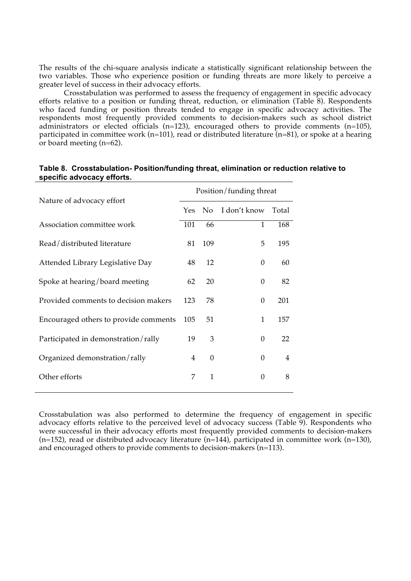The results of the chi-square analysis indicate a statistically significant relationship between the two variables. Those who experience position or funding threats are more likely to perceive a greater level of success in their advocacy efforts.

Crosstabulation was performed to assess the frequency of engagement in specific advocacy efforts relative to a position or funding threat, reduction, or elimination (Table 8). Respondents who faced funding or position threats tended to engage in specific advocacy activities. The respondents most frequently provided comments to decision-makers such as school district administrators or elected officials (n=123), encouraged others to provide comments (n=105), participated in committee work (n=101), read or distributed literature (n=81), or spoke at a hearing or board meeting (n=62).

| Nature of advocacy effort             |                | Position/funding threat |                |                |  |  |
|---------------------------------------|----------------|-------------------------|----------------|----------------|--|--|
|                                       |                | No.                     | I don't know   | Total          |  |  |
| Association committee work            | 101            | 66                      | $\overline{1}$ | 168            |  |  |
| Read/distributed literature           | 81             | 109                     | 5              | 195            |  |  |
| Attended Library Legislative Day      | 48             | 12                      | $\Omega$       | 60             |  |  |
| Spoke at hearing/board meeting        | 62             | 20                      | $\Omega$       | 82             |  |  |
| Provided comments to decision makers  | 123            | 78                      | $\theta$       | 201            |  |  |
| Encouraged others to provide comments | 105            | 51                      | 1              | 157            |  |  |
| Participated in demonstration/rally   | 19             | 3                       | $\theta$       | 22             |  |  |
| Organized demonstration/rally         | $\overline{4}$ | $\mathbf{0}$            | $\theta$       | $\overline{4}$ |  |  |
| Other efforts                         | 7              | $\mathbf{1}$            | 0              | 8              |  |  |

### **Table 8. Crosstabulation- Position/funding threat, elimination or reduction relative to specific advocacy efforts.**

Crosstabulation was also performed to determine the frequency of engagement in specific advocacy efforts relative to the perceived level of advocacy success (Table 9). Respondents who were successful in their advocacy efforts most frequently provided comments to decision-makers (n=152), read or distributed advocacy literature (n=144), participated in committee work (n=130), and encouraged others to provide comments to decision-makers (n=113).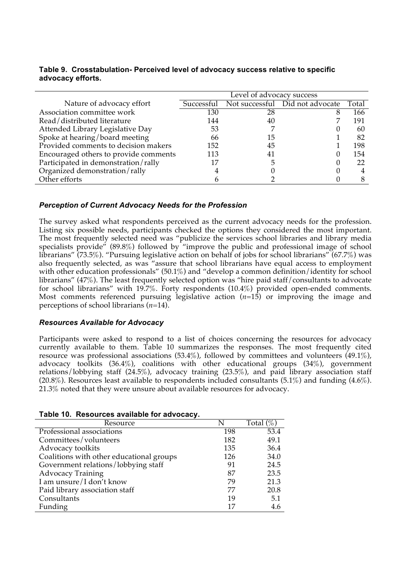|                                       | Level of advocacy success |    |                                 |       |
|---------------------------------------|---------------------------|----|---------------------------------|-------|
| Nature of advocacy effort             | Successful                |    | Not successful Did not advocate | Total |
| Association committee work            | 130                       | 28 |                                 | 166   |
| Read/distributed literature           | 144                       | 40 |                                 | 191   |
| Attended Library Legislative Day      | 53                        |    |                                 | 60    |
| Spoke at hearing/board meeting        | 66                        | 15 |                                 | 82    |
| Provided comments to decision makers  | 152                       | 45 |                                 | 198   |
| Encouraged others to provide comments | 113                       | 41 |                                 | 154   |
| Participated in demonstration/rally   | 17                        |    |                                 | 22    |
| Organized demonstration/rally         |                           |    |                                 |       |
| Other efforts                         |                           |    |                                 |       |

### **Table 9. Crosstabulation- Perceived level of advocacy success relative to specific advocacy efforts.**

### *Perception of Current Advocacy Needs for the Profession*

The survey asked what respondents perceived as the current advocacy needs for the profession. Listing six possible needs, participants checked the options they considered the most important. The most frequently selected need was "publicize the services school libraries and library media specialists provide" (89.8%) followed by "improve the public and professional image of school librarians" (73.5%). "Pursuing legislative action on behalf of jobs for school librarians" (67.7%) was also frequently selected, as was "assure that school librarians have equal access to employment with other education professionals" (50.1%) and "develop a common definition/identity for school librarians" (47%). The least frequently selected option was "hire paid staff/consultants to advocate for school librarians" with 19.7%. Forty respondents (10.4%) provided open-ended comments. Most comments referenced pursuing legislative action  $(n=15)$  or improving the image and perceptions of school librarians (*n*=14).

### *Resources Available for Advocacy*

Participants were asked to respond to a list of choices concerning the resources for advocacy currently available to them. Table 10 summarizes the responses. The most frequently cited resource was professional associations (53.4%), followed by committees and volunteers (49.1%), advocacy toolkits (36.4%), coalitions with other educational groups (34%), government relations/lobbying staff (24.5%), advocacy training (23.5%), and paid library association staff (20.8%). Resources least available to respondents included consultants (5.1%) and funding (4.6%). 21.3% noted that they were unsure about available resources for advocacy.

| Resource                                 |     | Total $(\%)$ |
|------------------------------------------|-----|--------------|
| Professional associations                | 198 | 53.4         |
| Committees/volunteers                    | 182 | 49.1         |
| Advocacy toolkits                        | 135 | 36.4         |
| Coalitions with other educational groups | 126 | 34.0         |
| Government relations/lobbying staff      | 91  | 24.5         |
| <b>Advocacy Training</b>                 | 87  | 23.5         |
| I am unsure/I don't know                 | 79  | 21.3         |
| Paid library association staff           | 77  | 20.8         |
| Consultants                              | 19  | 5.1          |
| Funding                                  | 17  | 4.6          |
|                                          |     |              |

#### **Table 10. Resources available for advocacy.**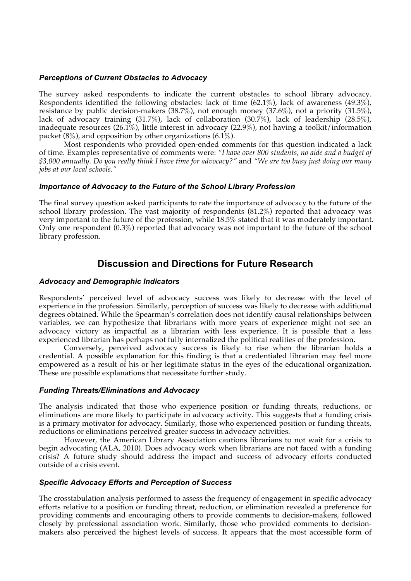### *Perceptions of Current Obstacles to Advocacy*

The survey asked respondents to indicate the current obstacles to school library advocacy. Respondents identified the following obstacles: lack of time (62.1%), lack of awareness (49.3%), resistance by public decision-makers (38.7%), not enough money (37.6%), not a priority (31.5%), lack of advocacy training (31.7%), lack of collaboration (30.7%), lack of leadership (28.5%), inadequate resources (26.1%), little interest in advocacy (22.9%), not having a toolkit/information packet  $(8\%)$ , and opposition by other organizations  $(6.1\%)$ .

Most respondents who provided open-ended comments for this question indicated a lack of time. Examples representative of comments were: *"I have over 800 students, no aide and a budget of \$3,000 annually. Do you really think I have time for advocacy?"* and *"We are too busy just doing our many jobs at our local schools."*

### *Importance of Advocacy to the Future of the School Library Profession*

The final survey question asked participants to rate the importance of advocacy to the future of the school library profession. The vast majority of respondents (81.2%) reported that advocacy was very important to the future of the profession, while 18.5% stated that it was moderately important. Only one respondent (0.3%) reported that advocacy was not important to the future of the school library profession.

### **Discussion and Directions for Future Research**

### *Advocacy and Demographic Indicators*

Respondents' perceived level of advocacy success was likely to decrease with the level of experience in the profession. Similarly, perception of success was likely to decrease with additional degrees obtained. While the Spearman's correlation does not identify causal relationships between variables, we can hypothesize that librarians with more years of experience might not see an advocacy victory as impactful as a librarian with less experience. It is possible that a less experienced librarian has perhaps not fully internalized the political realities of the profession.

Conversely, perceived advocacy success is likely to rise when the librarian holds a credential. A possible explanation for this finding is that a credentialed librarian may feel more empowered as a result of his or her legitimate status in the eyes of the educational organization. These are possible explanations that necessitate further study.

#### *Funding Threats/Eliminations and Advocacy*

The analysis indicated that those who experience position or funding threats, reductions, or eliminations are more likely to participate in advocacy activity. This suggests that a funding crisis is a primary motivator for advocacy. Similarly, those who experienced position or funding threats, reductions or eliminations perceived greater success in advocacy activities.

However, the American Library Association cautions librarians to not wait for a crisis to begin advocating (ALA, 2010). Does advocacy work when librarians are not faced with a funding crisis? A future study should address the impact and success of advocacy efforts conducted outside of a crisis event.

### *Specific Advocacy Efforts and Perception of Success*

The crosstabulation analysis performed to assess the frequency of engagement in specific advocacy efforts relative to a position or funding threat, reduction, or elimination revealed a preference for providing comments and encouraging others to provide comments to decision-makers, followed closely by professional association work. Similarly, those who provided comments to decisionmakers also perceived the highest levels of success. It appears that the most accessible form of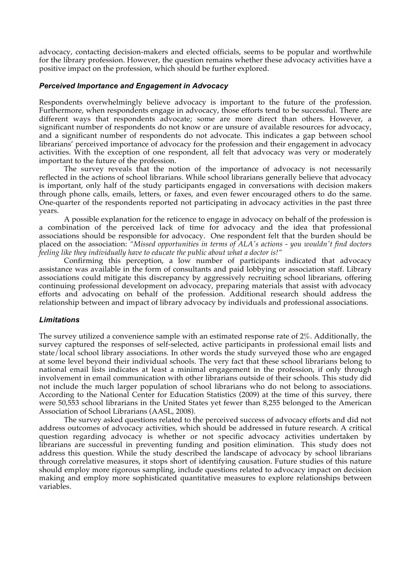advocacy, contacting decision-makers and elected officials, seems to be popular and worthwhile for the library profession. However, the question remains whether these advocacy activities have a positive impact on the profession, which should be further explored.

#### *Perceived Importance and Engagement in Advocacy*

Respondents overwhelmingly believe advocacy is important to the future of the profession. Furthermore, when respondents engage in advocacy, those efforts tend to be successful. There are different ways that respondents advocate; some are more direct than others. However, a significant number of respondents do not know or are unsure of available resources for advocacy, and a significant number of respondents do not advocate. This indicates a gap between school librarians' perceived importance of advocacy for the profession and their engagement in advocacy activities. With the exception of one respondent, all felt that advocacy was very or moderately important to the future of the profession.

The survey reveals that the notion of the importance of advocacy is not necessarily reflected in the actions of school librarians. While school librarians generally believe that advocacy is important, only half of the study participants engaged in conversations with decision makers through phone calls, emails, letters, or faxes, and even fewer encouraged others to do the same. One-quarter of the respondents reported not participating in advocacy activities in the past three years.

A possible explanation for the reticence to engage in advocacy on behalf of the profession is a combination of the perceived lack of time for advocacy and the idea that professional associations should be responsible for advocacy. One respondent felt that the burden should be placed on the association: *"Missed opportunities in terms of ALA's actions - you wouldn't find doctors feeling like they individually have to educate the public about what a doctor is!"*

Confirming this perception, a low number of participants indicated that advocacy assistance was available in the form of consultants and paid lobbying or association staff. Library associations could mitigate this discrepancy by aggressively recruiting school librarians, offering continuing professional development on advocacy, preparing materials that assist with advocacy efforts and advocating on behalf of the profession. Additional research should address the relationship between and impact of library advocacy by individuals and professional associations.

#### *Limitations*

The survey utilized a convenience sample with an estimated response rate of 2%. Additionally, the survey captured the responses of self-selected, active participants in professional email lists and state/local school library associations. In other words the study surveyed those who are engaged at some level beyond their individual schools. The very fact that these school librarians belong to national email lists indicates at least a minimal engagement in the profession, if only through involvement in email communication with other librarians outside of their schools. This study did not include the much larger population of school librarians who do not belong to associations. According to the National Center for Education Statistics (2009) at the time of this survey, there were 50,553 school librarians in the United States yet fewer than 8,255 belonged to the American Association of School Librarians (AASL, 2008).

The survey asked questions related to the perceived success of advocacy efforts and did not address outcomes of advocacy activities, which should be addressed in future research. A critical question regarding advocacy is whether or not specific advocacy activities undertaken by librarians are successful in preventing funding and position elimination. This study does not address this question. While the study described the landscape of advocacy by school librarians through correlative measures, it stops short of identifying causation. Future studies of this nature should employ more rigorous sampling, include questions related to advocacy impact on decision making and employ more sophisticated quantitative measures to explore relationships between variables.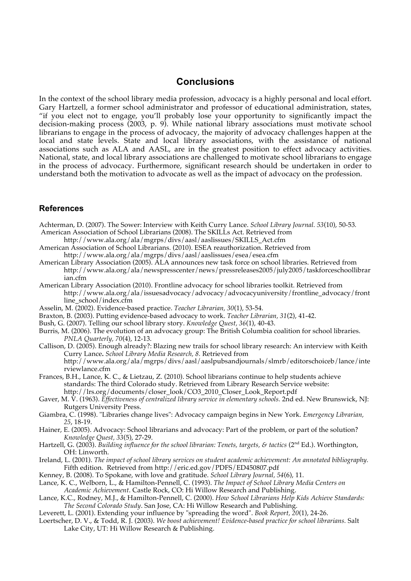### **Conclusions**

In the context of the school library media profession, advocacy is a highly personal and local effort. Gary Hartzell, a former school administrator and professor of educational administration, states, "if you elect not to engage, you'll probably lose your opportunity to significantly impact the decision-making process (2003, p. 9). While national library associations must motivate school librarians to engage in the process of advocacy, the majority of advocacy challenges happen at the local and state levels. State and local library associations, with the assistance of national associations such as ALA and AASL, are in the greatest position to effect advocacy activities. National, state, and local library associations are challenged to motivate school librarians to engage in the process of advocacy. Furthermore, significant research should be undertaken in order to understand both the motivation to advocate as well as the impact of advocacy on the profession.

### **References**

Achterman, D. (2007). The Sower: Interview with Keith Curry Lance. *School Library Journal. 53*(10), 50-53*.* American Association of School Librarians (2008). The SKILLs Act. Retrieved from

- http://www.ala.org/ala/mgrps/divs/aasl/aaslissues/SKILLS\_Act.cfm
- American Association of School Librarians. (2010). ESEA reauthorization. Retrieved from http://www.ala.org/ala/mgrps/divs/aasl/aaslissues/esea/esea.cfm
- American Library Association (2005). ALA announces new task force on school libraries. Retrieved from http://www.ala.org/ala/newspresscenter/news/pressreleases2005/july2005/taskforceschoollibrar ian.cfm
- American Library Association (2010). Frontline advocacy for school libraries toolkit. Retrieved from http://www.ala.org/ala/issuesadvocacy/advocacy/advocacyuniversity/frontline\_advocacy/front line\_school/index.cfm
- Asselin, M. (2002). Evidence-based practice. *Teacher Librarian, 30*(1), 53-54.
- Braxton, B. (2003). Putting evidence-based advocacy to work. *Teacher Librarian, 31*(2), 41-42.
- Bush, G. (2007). Telling our school library story. *Knowledge Quest, 36*(1), 40-43.
- Burris, M. (2006). The evolution of an advocacy group: The British Columbia coalition for school libraries. *PNLA Quarterly, 70*(4), 12-13.
- Callison, D. (2005). Enough already?: Blazing new trails for school library research: An interview with Keith Curry Lance**.** *School Library Media Research, 8.* Retrieved from http://www.ala.org/ala/mgrps/divs/aasl/aaslpubsandjournals/slmrb/editorschoiceb/lance/inte rviewlance.cfm
- Frances, B.H., Lance, K. C., & Lietzau, Z. (2010). School librarians continue to help students achieve standards: The third Colorado study. Retrieved from Library Research Service website: http://lrs.org/documents/closer\_look/CO3\_2010\_Closer\_Look\_Report.pdf
- Gaver, M. V. (1963). *Effectiveness of centralized library service in elementary schools.* 2nd ed. New Brunswick, NJ: Rutgers University Press.
- Giambra, C. (1998). "Libraries change lives": Advocacy campaign begins in New York. *Emergency Librarian, 25*, 18-19.
- Hainer, E. (2005). Advocacy: School librarians and advocacy: Part of the problem, or part of the solution? *Knowledge Quest, 33*(5), 27-29.
- Hartzell, G. (2003). *Building influence for the school librarian: Tenets, targets, & tactics* (2<sup>nd</sup> Ed.). Worthington, OH: Linworth.
- Ireland, L. (2001). *The impact of school library services on student academic achievement: An annotated bibliography.*  Fifth edition. Retrieved from http://eric.ed.gov/PDFS/ED450807.pdf
- Kenney, B. (2008). To Spokane, with love and gratitude. *School Library Journal, 54*(6), 11.
- Lance, K. C., Welborn, L., & Hamilton-Pennell, C. (1993). *The Impact of School Library Media Centers on Academic Achievement*. Castle Rock, CO: Hi Willow Research and Publishing.
- Lance, K.C., Rodney, M.J., & Hamilton-Pennell, C. (2000). *How School Librarians Help Kids Achieve Standards: The Second Colorado Study*. San Jose, CA: Hi Willow Research and Publishing.
- Leverett, L. (2001). Extending your influence by "spreading the word". *Book Report, 20*(1), 24-26.
- Loertscher, D. V., & Todd, R. J. (2003). *We boost achievement! Evidence-based practice for school librarians.* Salt Lake City, UT: Hi Willow Research & Publishing.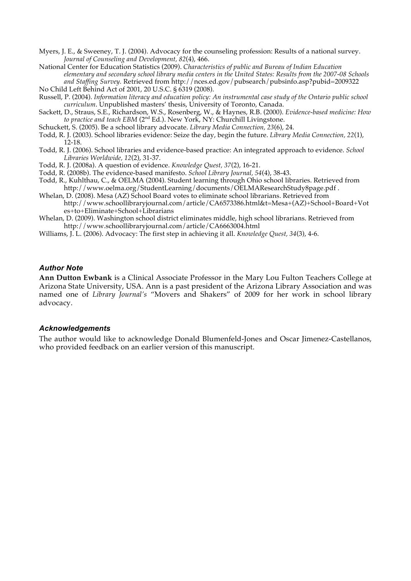- Myers, J. E., & Sweeney, T. J. (2004). Advocacy for the counseling profession: Results of a national survey. *Journal of Counseling and Development, 82*(4), 466.
- National Center for Education Statistics (2009). *Characteristics of public and Bureau of Indian Education elementary and secondary school library media centers in the United States: Results from the 2007-08 Schools and Staffing Survey.* Retrieved from http://nces.ed.gov/pubsearch/pubsinfo.asp?pubid=2009322
- No Child Left Behind Act of 2001, 20 U.S.C. § 6319 (2008).
- Russell, P. (2004). *Information literacy and education policy: An instrumental case study of the Ontario public school curriculum*. Unpublished masters' thesis, University of Toronto, Canada.
- Sackett, D., Straus, S.E., Richardson, W.S., Rosenberg, W., & Haynes, R.B. (2000). *Evidence-based medicine: How*  to practice and teach EBM (2<sup>nd</sup> Ed.). New York, NY: Churchill Livingstone.
- Schuckett, S. (2005). Be a school library advocate. *Library Media Connection, 23*(6), 24.
- Todd, R. J. (2003). School libraries evidence: Seize the day, begin the future. *Library Media Connection, 22*(1), 12-18.
- Todd, R. J. (2006). School libraries and evidence-based practice: An integrated approach to evidence. *School Libraries Worldwide, 12*(2), 31-37.
- Todd, R. J. (2008a). A question of evidence. *Knowledge Quest, 37*(2), 16-21.
- Todd, R. (2008b). The evidence-based manifesto. *School Library Journal, 54*(4), 38-43.
- Todd, R., Kuhlthau, C., & OELMA (2004). Student learning through Ohio school libraries. Retrieved from http://www.oelma.org/StudentLearning/documents/OELMAResearchStudy8page.pdf .
- Whelan, D. (2008). Mesa (AZ) School Board votes to eliminate school librarians. Retrieved from http://www.schoollibraryjournal.com/article/CA6573386.html&t=Mesa+(AZ)+School+Board+Vot es+to+Eliminate+School+Librarians
- Whelan, D. (2009). Washington school district eliminates middle, high school librarians. Retrieved from http://www.schoollibraryjournal.com/article/CA6663004.html
- Williams, J. L. (2006). Advocacy: The first step in achieving it all. *Knowledge Quest, 34*(3), 4-6.

#### *Author Note*

**Ann Dutton Ewbank** is a Clinical Associate Professor in the Mary Lou Fulton Teachers College at Arizona State University, USA. Ann is a past president of the Arizona Library Association and was named one of *Library Journal's* "Movers and Shakers" of 2009 for her work in school library advocacy.

#### *Acknowledgements*

The author would like to acknowledge Donald Blumenfeld-Jones and Oscar Jimenez-Castellanos, who provided feedback on an earlier version of this manuscript.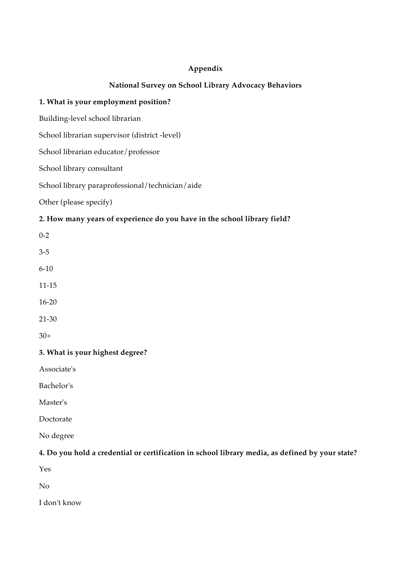### **Appendix**

### **National Survey on School Library Advocacy Behaviors**

### **1. What is your employment position?**

Building-level school librarian

School librarian supervisor (district -level)

School librarian educator/professor

School library consultant

School library paraprofessional/technician/aide

Other (please specify)

### **2. How many years of experience do you have in the school library field?**

0-2 3-5 6-10 11-15

16-20

21-30

30+

### **3. What is your highest degree?**

Associate's

Bachelor's

Master's

Doctorate

No degree

### **4. Do you hold a credential or certification in school library media, as defined by your state?**

Yes

No

I don't know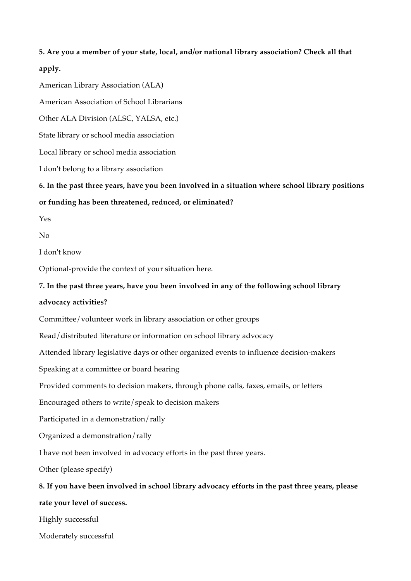### **5. Are you a member of your state, local, and/or national library association? Check all that apply.**

American Library Association (ALA)

American Association of School Librarians

Other ALA Division (ALSC, YALSA, etc.)

State library or school media association

Local library or school media association

I don't belong to a library association

**6. In the past three years, have you been involved in a situation where school library positions or funding has been threatened, reduced, or eliminated?**

Yes

 $N<sub>0</sub>$ 

I don't know

Optional-provide the context of your situation here.

### **7. In the past three years, have you been involved in any of the following school library**

### **advocacy activities?**

Committee/volunteer work in library association or other groups

Read/distributed literature or information on school library advocacy

Attended library legislative days or other organized events to influence decision-makers

Speaking at a committee or board hearing

Provided comments to decision makers, through phone calls, faxes, emails, or letters

Encouraged others to write/speak to decision makers

Participated in a demonstration/rally

Organized a demonstration/rally

I have not been involved in advocacy efforts in the past three years.

Other (please specify)

**8. If you have been involved in school library advocacy efforts in the past three years, please rate your level of success.**

Highly successful

Moderately successful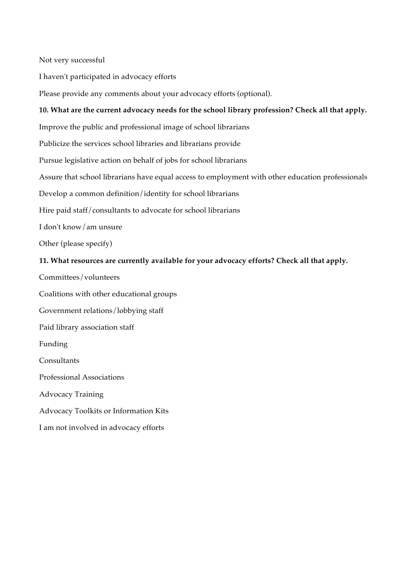Not very successful

I haven't participated in advocacy efforts

Please provide any comments about your advocacy efforts (optional).

### **10. What are the current advocacy needs for the school library profession? Check all that apply.**

Improve the public and professional image of school librarians

Publicize the services school libraries and librarians provide

Pursue legislative action on behalf of jobs for school librarians

Assure that school librarians have equal access to employment with other education professionals

Develop a common definition/identity for school librarians

Hire paid staff/consultants to advocate for school librarians

I don't know/am unsure

Other (please specify)

### **11. What resources are currently available for your advocacy efforts? Check all that apply.**

Committees/volunteers

Coalitions with other educational groups

Government relations/lobbying staff

Paid library association staff

Funding

**Consultants** 

Professional Associations

Advocacy Training

Advocacy Toolkits or Information Kits

I am not involved in advocacy efforts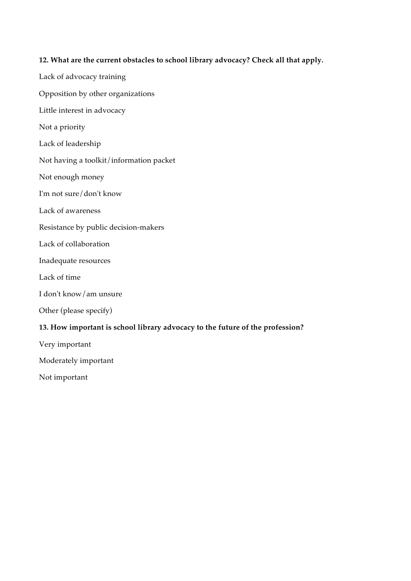### **12. What are the current obstacles to school library advocacy? Check all that apply.**

- Lack of advocacy training Opposition by other organizations Little interest in advocacy Not a priority Lack of leadership Not having a toolkit/information packet Not enough money I'm not sure/don't know Lack of awareness Resistance by public decision-makers Lack of collaboration Inadequate resources Lack of time I don't know/am unsure Other (please specify) **13. How important is school library advocacy to the future of the profession?** Very important Moderately important
- Not important